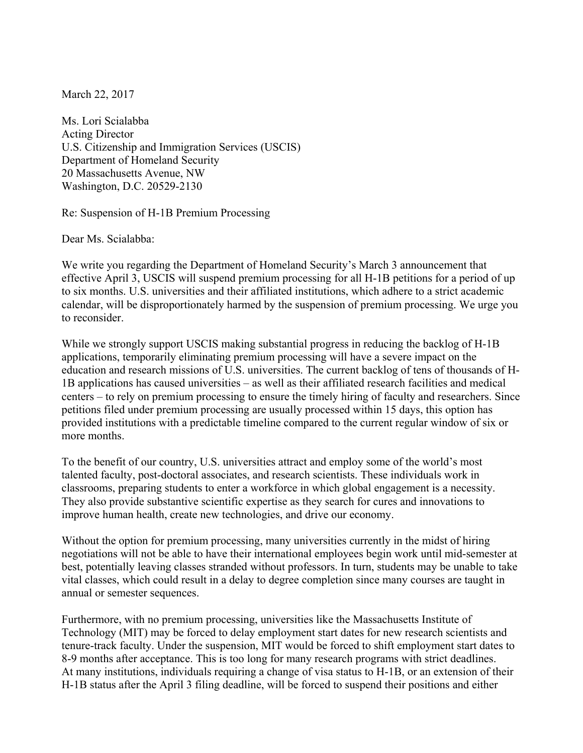March 22, 2017

Ms. Lori Scialabba Acting Director U.S. Citizenship and Immigration Services (USCIS) Department of Homeland Security 20 Massachusetts Avenue, NW Washington, D.C. 20529-2130

Re: Suspension of H-1B Premium Processing

Dear Ms. Scialabba:

We write you regarding the Department of Homeland Security's March 3 announcement that effective April 3, USCIS will suspend premium processing for all H-1B petitions for a period of up to six months. U.S. universities and their affiliated institutions, which adhere to a strict academic calendar, will be disproportionately harmed by the suspension of premium processing. We urge you to reconsider.

While we strongly support USCIS making substantial progress in reducing the backlog of H-1B applications, temporarily eliminating premium processing will have a severe impact on the education and research missions of U.S. universities. The current backlog of tens of thousands of H-1B applications has caused universities – as well as their affiliated research facilities and medical centers – to rely on premium processing to ensure the timely hiring of faculty and researchers. Since petitions filed under premium processing are usually processed within 15 days, this option has provided institutions with a predictable timeline compared to the current regular window of six or more months.

To the benefit of our country, U.S. universities attract and employ some of the world's most talented faculty, post-doctoral associates, and research scientists. These individuals work in classrooms, preparing students to enter a workforce in which global engagement is a necessity. They also provide substantive scientific expertise as they search for cures and innovations to improve human health, create new technologies, and drive our economy.

Without the option for premium processing, many universities currently in the midst of hiring negotiations will not be able to have their international employees begin work until mid-semester at best, potentially leaving classes stranded without professors. In turn, students may be unable to take vital classes, which could result in a delay to degree completion since many courses are taught in annual or semester sequences.

Furthermore, with no premium processing, universities like the Massachusetts Institute of Technology (MIT) may be forced to delay employment start dates for new research scientists and tenure-track faculty. Under the suspension, MIT would be forced to shift employment start dates to 8-9 months after acceptance. This is too long for many research programs with strict deadlines. At many institutions, individuals requiring a change of visa status to H-1B, or an extension of their H-1B status after the April 3 filing deadline, will be forced to suspend their positions and either